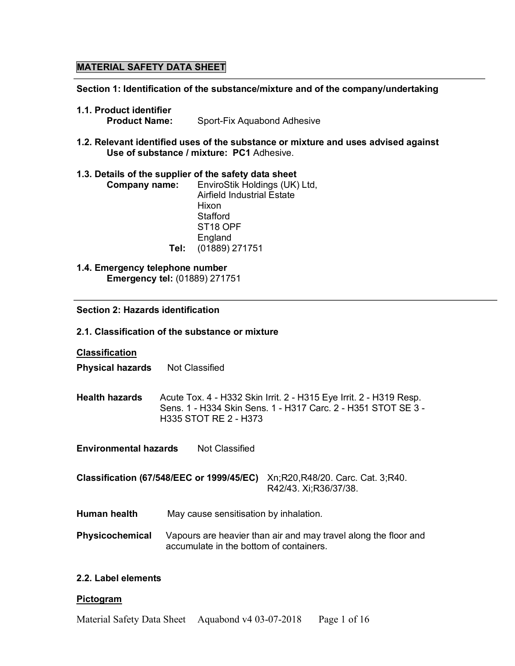# **MATERIAL SAFETY DATA SHEET**

#### **Section 1: Identification of the substance/mixture and of the company/undertaking**

- **1.1. Product identifier Product Name:** Sport-Fix Aquabond Adhesive
- **1.2. Relevant identified uses of the substance or mixture and uses advised against Use of substance / mixture: PC1** Adhesive.

## **1.3. Details of the supplier of the safety data sheet**

| <b>Company name:</b> | EnviroStik Holdings (UK) Ltd,     |
|----------------------|-----------------------------------|
|                      | <b>Airfield Industrial Estate</b> |
|                      | Hixon                             |
|                      | Stafford                          |
|                      | ST <sub>18</sub> OPF              |
|                      | England                           |
|                      | Tel: (01889) 271751               |

**1.4. Emergency telephone number Emergency tel:** (01889) 271751

## **Section 2: Hazards identification**

#### **2.1. Classification of the substance or mixture**

**Classification**

**Physical hazards** Not Classified

**Health hazards** Acute Tox. 4 - H332 Skin Irrit. 2 - H315 Eye Irrit. 2 - H319 Resp. Sens. 1 - H334 Skin Sens. 1 - H317 Carc. 2 - H351 STOT SE 3 - H335 STOT RE 2 - H373

**Environmental hazards** Not Classified

**Classification (67/548/EEC or 1999/45/EC)** Xn;R20,R48/20. Carc. Cat. 3;R40. R42/43. Xi;R36/37/38.

- **Human health** May cause sensitisation by inhalation.
- **Physicochemical** Vapours are heavier than air and may travel along the floor and accumulate in the bottom of containers.

# **2.2. Label elements**

#### **Pictogram**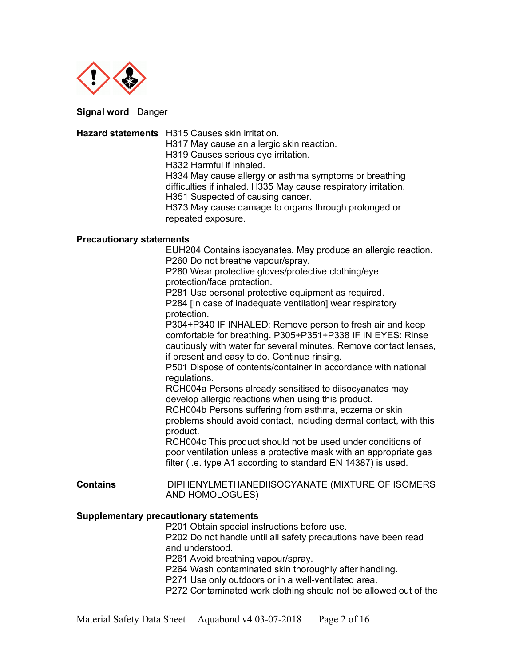

**Signal word** Danger

**Hazard statements** H315 Causes skin irritation. H317 May cause an allergic skin reaction. H319 Causes serious eye irritation. H332 Harmful if inhaled. H334 May cause allergy or asthma symptoms or breathing difficulties if inhaled. H335 May cause respiratory irritation. H351 Suspected of causing cancer. H373 May cause damage to organs through prolonged or repeated exposure. **Precautionary statements**  EUH204 Contains isocyanates. May produce an allergic reaction. P260 Do not breathe vapour/spray. P280 Wear protective gloves/protective clothing/eye protection/face protection. P281 Use personal protective equipment as required. P284 [In case of inadequate ventilation] wear respiratory protection. P304+P340 IF INHALED: Remove person to fresh air and keep comfortable for breathing. P305+P351+P338 IF IN EYES: Rinse cautiously with water for several minutes. Remove contact lenses, if present and easy to do. Continue rinsing. P501 Dispose of contents/container in accordance with national regulations. RCH004a Persons already sensitised to diisocyanates may develop allergic reactions when using this product. RCH004b Persons suffering from asthma, eczema or skin problems should avoid contact, including dermal contact, with this product. RCH004c This product should not be used under conditions of poor ventilation unless a protective mask with an appropriate gas filter (i.e. type A1 according to standard EN 14387) is used. **Contains** DIPHENYLMETHANEDIISOCYANATE (MIXTURE OF ISOMERS AND HOMOLOGUES) **Supplementary precautionary statements**  P201 Obtain special instructions before use. P202 Do not handle until all safety precautions have been read and understood. P261 Avoid breathing vapour/spray.

P264 Wash contaminated skin thoroughly after handling.

P271 Use only outdoors or in a well-ventilated area.

P272 Contaminated work clothing should not be allowed out of the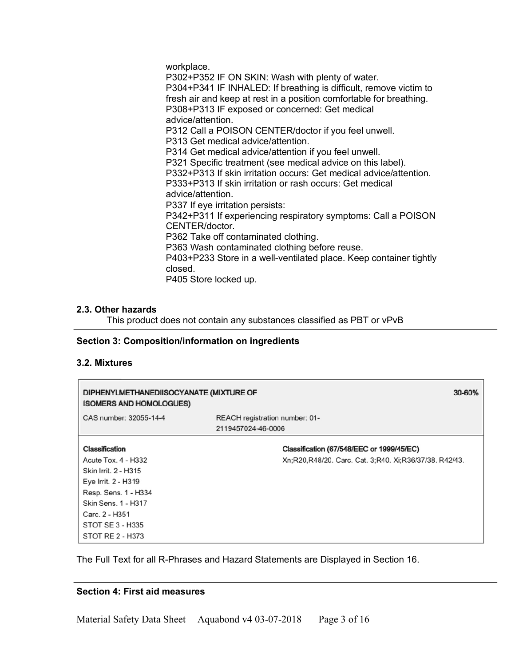workplace. P302+P352 IF ON SKIN: Wash with plenty of water. P304+P341 IF INHALED: If breathing is difficult, remove victim to fresh air and keep at rest in a position comfortable for breathing. P308+P313 IF exposed or concerned: Get medical advice/attention. P312 Call a POISON CENTER/doctor if you feel unwell. P313 Get medical advice/attention. P314 Get medical advice/attention if you feel unwell. P321 Specific treatment (see medical advice on this label). P332+P313 If skin irritation occurs: Get medical advice/attention. P333+P313 If skin irritation or rash occurs: Get medical advice/attention. P337 If eye irritation persists: P342+P311 If experiencing respiratory symptoms: Call a POISON CENTER/doctor. P362 Take off contaminated clothing. P363 Wash contaminated clothing before reuse. P403+P233 Store in a well-ventilated place. Keep container tightly closed. P405 Store locked up.

## **2.3. Other hazards**

This product does not contain any substances classified as PBT or vPvB

#### **Section 3: Composition/information on ingredients**

#### **3.2. Mixtures**

| DIPHENYLMETHANEDIISOCYANATE (MIXTURE OF<br><b>ISOMERS AND HOMOLOGUES)</b> | 30-60%                                                 |  |
|---------------------------------------------------------------------------|--------------------------------------------------------|--|
| CAS number: 32055-14-4                                                    | REACH registration number: 01-<br>2119457024-46-0006   |  |
| Classification                                                            | Classification (67/548/EEC or 1999/45/EC)              |  |
| Acute Tox. 4 - H332                                                       | Xn;R20,R48/20. Carc. Cat. 3;R40. Xi;R36/37/38. R42/43. |  |
| Skin Irrit. 2 - H315                                                      |                                                        |  |
| Eye Irrit. 2 - H319                                                       |                                                        |  |
| Resp. Sens. 1 - H334                                                      |                                                        |  |
| Skin Sens. 1 - H317                                                       |                                                        |  |
| Carc. 2 - H351                                                            |                                                        |  |
| STOT SE 3 - H335                                                          |                                                        |  |
| STOT RE 2 - H373                                                          |                                                        |  |

The Full Text for all R-Phrases and Hazard Statements are Displayed in Section 16.

#### **Section 4: First aid measures**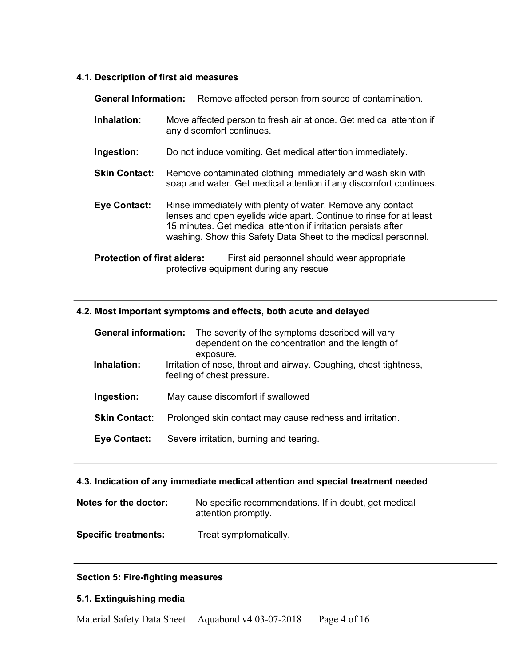# **4.1. Description of first aid measures**

| <b>General Information:</b>        | Remove affected person from source of contamination.                                                                                                                                                                                                                 |  |
|------------------------------------|----------------------------------------------------------------------------------------------------------------------------------------------------------------------------------------------------------------------------------------------------------------------|--|
| Inhalation:                        | Move affected person to fresh air at once. Get medical attention if<br>any discomfort continues.                                                                                                                                                                     |  |
| Ingestion:                         | Do not induce vomiting. Get medical attention immediately.                                                                                                                                                                                                           |  |
| <b>Skin Contact:</b>               | Remove contaminated clothing immediately and wash skin with<br>soap and water. Get medical attention if any discomfort continues.                                                                                                                                    |  |
| <b>Eye Contact:</b>                | Rinse immediately with plenty of water. Remove any contact<br>lenses and open eyelids wide apart. Continue to rinse for at least<br>15 minutes. Get medical attention if irritation persists after<br>washing. Show this Safety Data Sheet to the medical personnel. |  |
| <b>Protection of first aiders:</b> | First aid personnel should wear appropriate<br>protective equipment during any rescue                                                                                                                                                                                |  |

# **4.2. Most important symptoms and effects, both acute and delayed**

| <b>General information:</b> | The severity of the symptoms described will vary<br>dependent on the concentration and the length of<br>exposure. |  |
|-----------------------------|-------------------------------------------------------------------------------------------------------------------|--|
| Inhalation:                 | Irritation of nose, throat and airway. Coughing, chest tightness,<br>feeling of chest pressure.                   |  |
| Ingestion:                  | May cause discomfort if swallowed                                                                                 |  |
| <b>Skin Contact:</b>        | Prolonged skin contact may cause redness and irritation.                                                          |  |
| <b>Eye Contact:</b>         | Severe irritation, burning and tearing.                                                                           |  |

# **4.3. Indication of any immediate medical attention and special treatment needed**

| Notes for the doctor:       | No specific recommendations. If in doubt, get medical<br>attention promptly. |
|-----------------------------|------------------------------------------------------------------------------|
| <b>Specific treatments:</b> | Treat symptomatically.                                                       |

# **Section 5: Fire-fighting measures**

# **5.1. Extinguishing media**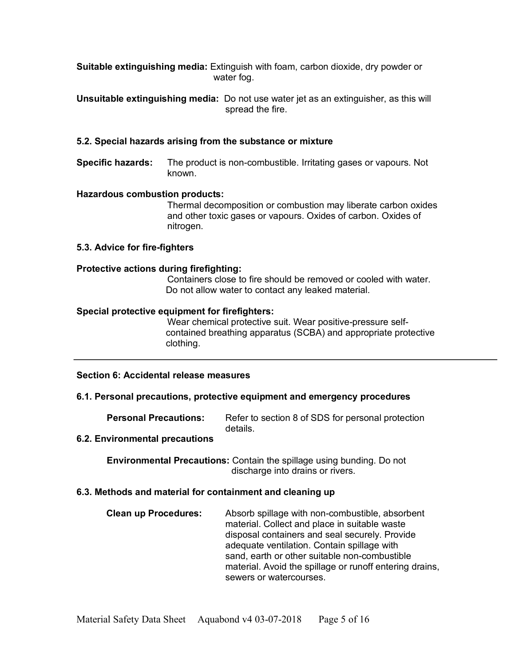**Suitable extinguishing media:** Extinguish with foam, carbon dioxide, dry powder or water fog.

**Unsuitable extinguishing media:** Do not use water jet as an extinguisher, as this will spread the fire.

## **5.2. Special hazards arising from the substance or mixture**

**Specific hazards:** The product is non-combustible. Irritating gases or vapours. Not known.

## **Hazardous combustion products:**

Thermal decomposition or combustion may liberate carbon oxides and other toxic gases or vapours. Oxides of carbon. Oxides of nitrogen.

**5.3. Advice for fire-fighters**

#### **Protective actions during firefighting:**

Containers close to fire should be removed or cooled with water. Do not allow water to contact any leaked material.

#### **Special protective equipment for firefighters:**

Wear chemical protective suit. Wear positive-pressure selfcontained breathing apparatus (SCBA) and appropriate protective clothing.

#### **Section 6: Accidental release measures**

#### **6.1. Personal precautions, protective equipment and emergency procedures**

**Personal Precautions:** Refer to section 8 of SDS for personal protection details.

## **6.2. Environmental precautions**

**Environmental Precautions:** Contain the spillage using bunding. Do not discharge into drains or rivers.

#### **6.3. Methods and material for containment and cleaning up**

| <b>Clean up Procedures:</b> | Absorb spillage with non-combustible, absorbent         |  |
|-----------------------------|---------------------------------------------------------|--|
|                             | material. Collect and place in suitable waste           |  |
|                             | disposal containers and seal securely. Provide          |  |
|                             | adequate ventilation. Contain spillage with             |  |
|                             | sand, earth or other suitable non-combustible           |  |
|                             | material. Avoid the spillage or runoff entering drains, |  |
|                             | sewers or watercourses.                                 |  |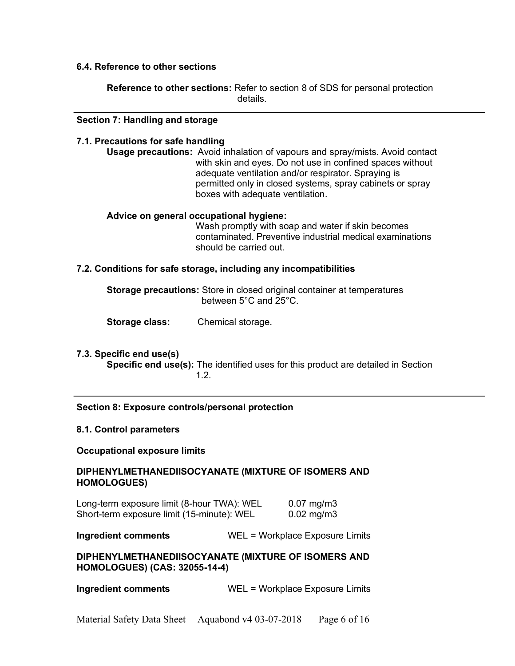## **6.4. Reference to other sections**

**Reference to other sections:** Refer to section 8 of SDS for personal protection details.

#### **Section 7: Handling and storage**

 $\overline{a}$ 

#### **7.1. Precautions for safe handling**

**Usage precautions:** Avoid inhalation of vapours and spray/mists. Avoid contact with skin and eyes. Do not use in confined spaces without adequate ventilation and/or respirator. Spraying is permitted only in closed systems, spray cabinets or spray boxes with adequate ventilation.

#### **Advice on general occupational hygiene:**

Wash promptly with soap and water if skin becomes contaminated. Preventive industrial medical examinations should be carried out.

#### **7.2. Conditions for safe storage, including any incompatibilities**

**Storage precautions:** Store in closed original container at temperatures between 5°C and 25°C.

**Storage class:** Chemical storage.

## **7.3. Specific end use(s)**

**Specific end use(s):** The identified uses for this product are detailed in Section 1.2.

#### **Section 8: Exposure controls/personal protection**

#### **8.1. Control parameters**

#### **Occupational exposure limits**

## **DIPHENYLMETHANEDIISOCYANATE (MIXTURE OF ISOMERS AND HOMOLOGUES)**

Long-term exposure limit (8-hour TWA): WEL 0.07 mg/m3 Short-term exposure limit (15-minute): WEL 0.02 mg/m3

**Ingredient comments** WEL = Workplace Exposure Limits

**DIPHENYLMETHANEDIISOCYANATE (MIXTURE OF ISOMERS AND HOMOLOGUES) (CAS: 32055-14-4)** 

**Ingredient comments** WEL = Workplace Exposure Limits

Material Safety Data Sheet Aquabond v4 03-07-2018 Page 6 of 16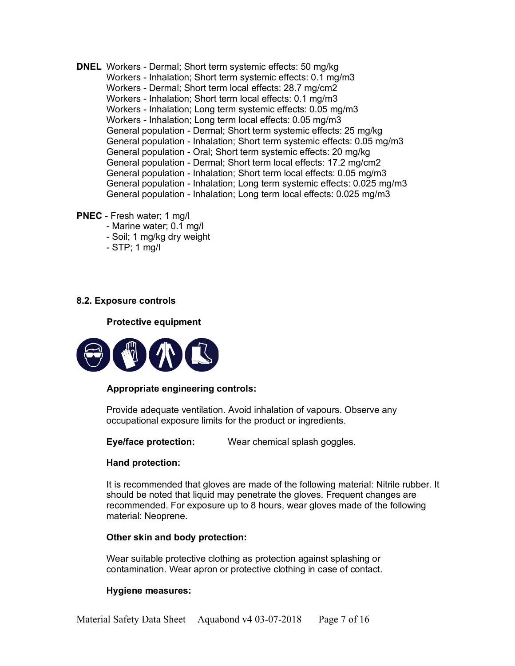- **DNEL** Workers Dermal; Short term systemic effects: 50 mg/kg Workers - Inhalation; Short term systemic effects: 0.1 mg/m3 Workers - Dermal; Short term local effects: 28.7 mg/cm2 Workers - Inhalation; Short term local effects: 0.1 mg/m3 Workers - Inhalation; Long term systemic effects: 0.05 mg/m3 Workers - Inhalation; Long term local effects: 0.05 mg/m3 General population - Dermal; Short term systemic effects: 25 mg/kg General population - Inhalation; Short term systemic effects: 0.05 mg/m3 General population - Oral; Short term systemic effects: 20 mg/kg General population - Dermal; Short term local effects: 17.2 mg/cm2 General population - Inhalation; Short term local effects: 0.05 mg/m3 General population - Inhalation; Long term systemic effects: 0.025 mg/m3 General population - Inhalation; Long term local effects: 0.025 mg/m3
- **PNEC**  Fresh water; 1 mg/l
	- Marine water; 0.1 mg/l
	- Soil; 1 mg/kg dry weight
	- STP; 1 mg/l

## **8.2. Exposure controls**

**Protective equipment** 



#### **Appropriate engineering controls:**

Provide adequate ventilation. Avoid inhalation of vapours. Observe any occupational exposure limits for the product or ingredients.

**Eye/face protection:** Wear chemical splash goggles.

## **Hand protection:**

It is recommended that gloves are made of the following material: Nitrile rubber. It should be noted that liquid may penetrate the gloves. Frequent changes are recommended. For exposure up to 8 hours, wear gloves made of the following material: Neoprene.

#### **Other skin and body protection:**

Wear suitable protective clothing as protection against splashing or contamination. Wear apron or protective clothing in case of contact.

#### **Hygiene measures:**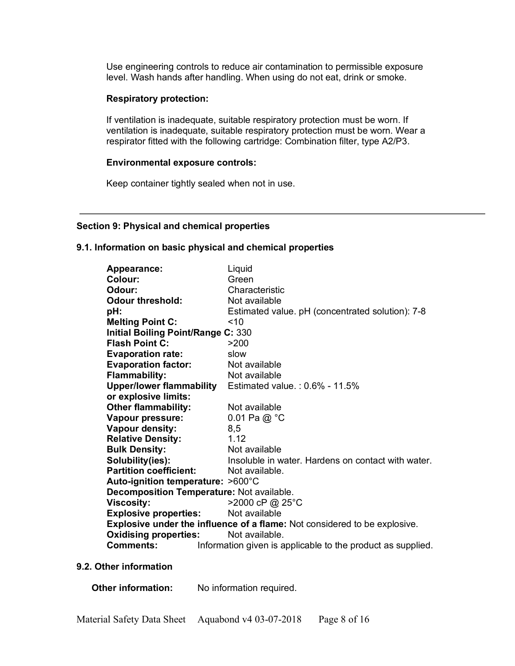Use engineering controls to reduce air contamination to permissible exposure level. Wash hands after handling. When using do not eat, drink or smoke.

#### **Respiratory protection:**

If ventilation is inadequate, suitable respiratory protection must be worn. If ventilation is inadequate, suitable respiratory protection must be worn. Wear a respirator fitted with the following cartridge: Combination filter, type A2/P3.

#### **Environmental exposure controls:**

Keep container tightly sealed when not in use.

## **Section 9: Physical and chemical properties**

#### **9.1. Information on basic physical and chemical properties**

| Appearance:                                                               | Liquid                                                      |  |  |
|---------------------------------------------------------------------------|-------------------------------------------------------------|--|--|
| Colour:                                                                   | Green                                                       |  |  |
| Odour:                                                                    | Characteristic                                              |  |  |
| <b>Odour threshold:</b>                                                   | Not available                                               |  |  |
| pH:                                                                       | Estimated value. pH (concentrated solution): 7-8            |  |  |
| <b>Melting Point C:</b>                                                   | ~10                                                         |  |  |
| <b>Initial Boiling Point/Range C: 330</b>                                 |                                                             |  |  |
| <b>Flash Point C:</b>                                                     | >200                                                        |  |  |
| <b>Evaporation rate:</b>                                                  | slow                                                        |  |  |
| <b>Evaporation factor:</b>                                                | Not available                                               |  |  |
| <b>Flammability:</b>                                                      | Not available                                               |  |  |
| <b>Upper/lower flammability</b>                                           | Estimated value.: $0.6\%$ - 11.5%                           |  |  |
| or explosive limits:                                                      |                                                             |  |  |
| <b>Other flammability:</b>                                                | Not available                                               |  |  |
| Vapour pressure:                                                          | 0.01 Pa $@$ °C                                              |  |  |
| Vapour density:                                                           | 8,5                                                         |  |  |
| <b>Relative Density:</b>                                                  | 1.12                                                        |  |  |
| <b>Bulk Density:</b>                                                      | Not available                                               |  |  |
| Solubility(ies):                                                          | Insoluble in water. Hardens on contact with water.          |  |  |
| <b>Partition coefficient:</b>                                             | Not available.                                              |  |  |
| Auto-ignition temperature: >600°C                                         |                                                             |  |  |
| Decomposition Temperature: Not available.                                 |                                                             |  |  |
| <b>Viscosity:</b>                                                         | >2000 cP @ 25°C                                             |  |  |
| <b>Explosive properties:</b>                                              | Not available                                               |  |  |
| Explosive under the influence of a flame: Not considered to be explosive. |                                                             |  |  |
| <b>Oxidising properties:</b>                                              | Not available.                                              |  |  |
| <b>Comments:</b>                                                          | Information given is applicable to the product as supplied. |  |  |

#### **9.2. Other information**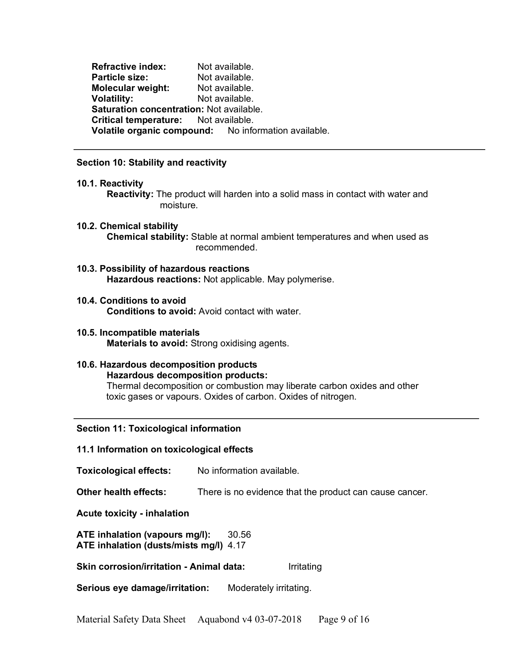**Refractive index:** Not available. **Particle size:** Not available. **Molecular weight:** Not available. **Volatility:** Not available. **Saturation concentration:** Not available. **Critical temperature:** Not available. **Volatile organic compound:** No information available.

## **Section 10: Stability and reactivity**

#### **10.1. Reactivity**

**Reactivity:** The product will harden into a solid mass in contact with water and moisture.

- **10.2. Chemical stability Chemical stability:** Stable at normal ambient temperatures and when used as recommended.
- **10.3. Possibility of hazardous reactions Hazardous reactions:** Not applicable. May polymerise.
- **10.4. Conditions to avoid Conditions to avoid:** Avoid contact with water.
- **10.5. Incompatible materials Materials to avoid:** Strong oxidising agents.

# **10.6. Hazardous decomposition products Hazardous decomposition products:**

Thermal decomposition or combustion may liberate carbon oxides and other toxic gases or vapours. Oxides of carbon. Oxides of nitrogen.

**Section 11: Toxicological information**

## **11.1 Information on toxicological effects**

| <b>Toxicological effects:</b>                                            | No information available.                               |                        |  |
|--------------------------------------------------------------------------|---------------------------------------------------------|------------------------|--|
| Other health effects:                                                    | There is no evidence that the product can cause cancer. |                        |  |
| Acute toxicity - inhalation                                              |                                                         |                        |  |
| ATE inhalation (vapours mg/l):<br>ATE inhalation (dusts/mists mg/l) 4.17 | 30.56                                                   |                        |  |
| Skin corrosion/irritation - Animal data:                                 |                                                         | Irritating             |  |
| Serious eye damage/irritation:                                           |                                                         | Moderately irritating. |  |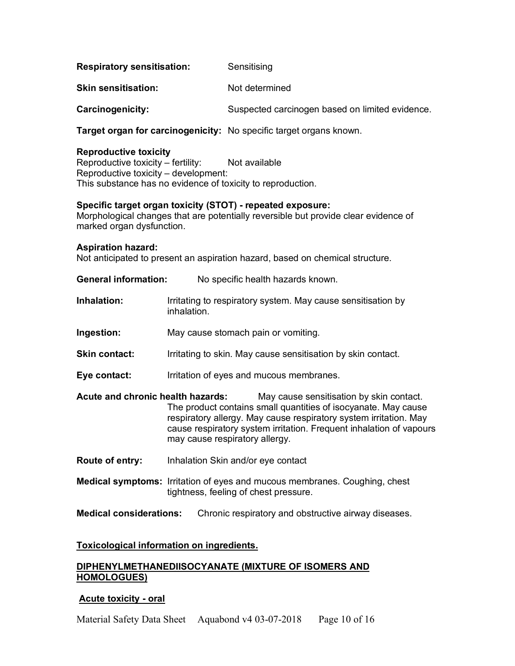| Sensitising |
|-------------|
|             |

**Skin sensitisation:** Not determined

**Carcinogenicity:** Suspected carcinogen based on limited evidence.

**Target organ for carcinogenicity:** No specific target organs known.

# **Reproductive toxicity**

Reproductive toxicity – fertility: Not available Reproductive toxicity – development: This substance has no evidence of toxicity to reproduction.

# **Specific target organ toxicity (STOT) - repeated exposure:**

Morphological changes that are potentially reversible but provide clear evidence of marked organ dysfunction.

# **Aspiration hazard:**

Not anticipated to present an aspiration hazard, based on chemical structure.

| <b>General information:</b> | No specific health hazards known. |
|-----------------------------|-----------------------------------|
|                             |                                   |

- **Inhalation:** Irritating to respiratory system. May cause sensitisation by inhalation.
- **Ingestion:** May cause stomach pain or vomiting.
- **Skin contact:** Irritating to skin. May cause sensitisation by skin contact.
- **Eye contact:** Irritation of eyes and mucous membranes.
- **Acute and chronic health hazards:** May cause sensitisation by skin contact. The product contains small quantities of isocyanate. May cause respiratory allergy. May cause respiratory system irritation. May cause respiratory system irritation. Frequent inhalation of vapours may cause respiratory allergy.
- **Route of entry:** Inhalation Skin and/or eye contact
- **Medical symptoms:** Irritation of eyes and mucous membranes. Coughing, chest tightness, feeling of chest pressure.

**Medical considerations:** Chronic respiratory and obstructive airway diseases.

# **Toxicological information on ingredients.**

# **DIPHENYLMETHANEDIISOCYANATE (MIXTURE OF ISOMERS AND HOMOLOGUES)**

# **Acute toxicity - oral**

Material Safety Data Sheet Aquabond v4 03-07-2018 Page 10 of 16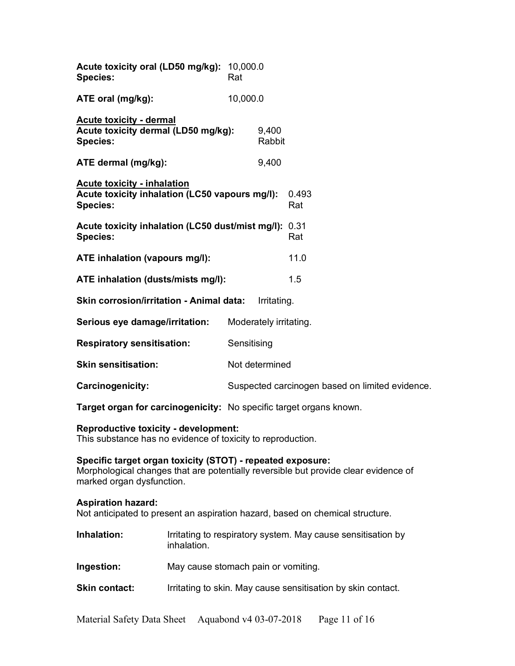| Acute toxicity oral (LD50 mg/kg): 10,000.0<br><b>Species:</b>                                           | Rat            |                        |                                                 |
|---------------------------------------------------------------------------------------------------------|----------------|------------------------|-------------------------------------------------|
| ATE oral (mg/kg):                                                                                       | 10,000.0       |                        |                                                 |
| Acute toxicity - dermal<br>Acute toxicity dermal (LD50 mg/kg):<br><b>Species:</b>                       |                | 9,400<br>Rabbit        |                                                 |
| ATE dermal (mg/kg):                                                                                     |                | 9,400                  |                                                 |
| <b>Acute toxicity - inhalation</b><br>Acute toxicity inhalation (LC50 vapours mg/l):<br><b>Species:</b> |                |                        | 0.493<br>Rat                                    |
| Acute toxicity inhalation (LC50 dust/mist mg/l): 0.31<br><b>Species:</b>                                |                |                        | Rat                                             |
| ATE inhalation (vapours mg/l):                                                                          |                |                        | 11.0                                            |
| ATE inhalation (dusts/mists mg/l):                                                                      |                |                        | 1.5                                             |
| <b>Skin corrosion/irritation - Animal data:</b><br>Irritating.                                          |                |                        |                                                 |
| Serious eye damage/irritation:                                                                          |                | Moderately irritating. |                                                 |
| <b>Respiratory sensitisation:</b>                                                                       | Sensitising    |                        |                                                 |
| <b>Skin sensitisation:</b>                                                                              | Not determined |                        |                                                 |
| Carcinogenicity:                                                                                        |                |                        | Suspected carcinogen based on limited evidence. |

**Target organ for carcinogenicity:** No specific target organs known.

## **Reproductive toxicity - development:**

This substance has no evidence of toxicity to reproduction.

## **Specific target organ toxicity (STOT) - repeated exposure:**

Morphological changes that are potentially reversible but provide clear evidence of marked organ dysfunction.

## **Aspiration hazard:**

Not anticipated to present an aspiration hazard, based on chemical structure.

- **Inhalation:** Irritating to respiratory system. May cause sensitisation by inhalation.
- **Ingestion:** May cause stomach pain or vomiting.
- **Skin contact:** Irritating to skin. May cause sensitisation by skin contact.

Material Safety Data Sheet Aquabond v4 03-07-2018 Page 11 of 16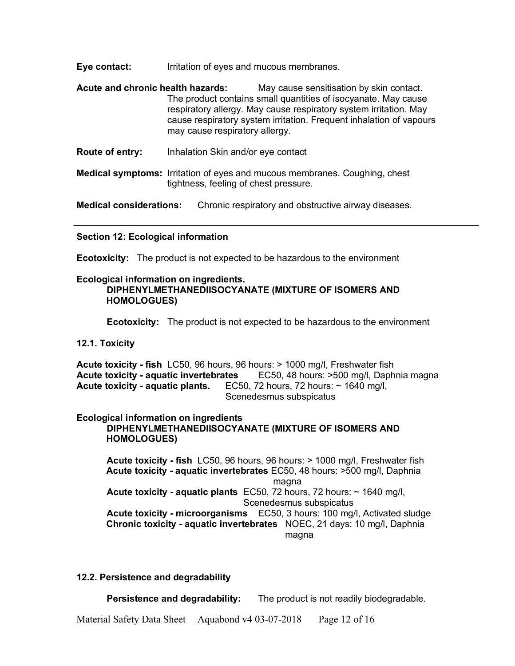**Eye contact:** Irritation of eyes and mucous membranes.

**Acute and chronic health hazards:** May cause sensitisation by skin contact. The product contains small quantities of isocyanate. May cause respiratory allergy. May cause respiratory system irritation. May cause respiratory system irritation. Frequent inhalation of vapours may cause respiratory allergy.

**Route of entry:** Inhalation Skin and/or eye contact

**Medical symptoms:** Irritation of eyes and mucous membranes. Coughing, chest tightness, feeling of chest pressure.

**Medical considerations:** Chronic respiratory and obstructive airway diseases.

## **Section 12: Ecological information**

**Ecotoxicity:** The product is not expected to be hazardous to the environment

# **Ecological information on ingredients.**

## **DIPHENYLMETHANEDIISOCYANATE (MIXTURE OF ISOMERS AND HOMOLOGUES)**

**Ecotoxicity:** The product is not expected to be hazardous to the environment

# **12.1. Toxicity**

**Acute toxicity - fish** LC50, 96 hours, 96 hours: > 1000 mg/l, Freshwater fish **Acute toxicity - aquatic invertebrates** EC50, 48 hours: >500 mg/l, Daphnia magna **Acute toxicity - aquatic plants.** EC50, 72 hours, 72 hours: ~ 1640 mg/l, Scenedesmus subspicatus

# **Ecological information on ingredients**

## **DIPHENYLMETHANEDIISOCYANATE (MIXTURE OF ISOMERS AND HOMOLOGUES)**

**Acute toxicity - fish** LC50, 96 hours, 96 hours: > 1000 mg/l, Freshwater fish **Acute toxicity - aquatic invertebrates** EC50, 48 hours: >500 mg/l, Daphnia magna **Acute toxicity - aquatic plants** EC50, 72 hours, 72 hours: ~ 1640 mg/l, Scenedesmus subspicatus **Acute toxicity - microorganisms** EC50, 3 hours: 100 mg/l, Activated sludge **Chronic toxicity - aquatic invertebrates** NOEC, 21 days: 10 mg/l, Daphnia magna

## **12.2. Persistence and degradability**

**Persistence and degradability:** The product is not readily biodegradable.

Material Safety Data Sheet Aquabond v4 03-07-2018 Page 12 of 16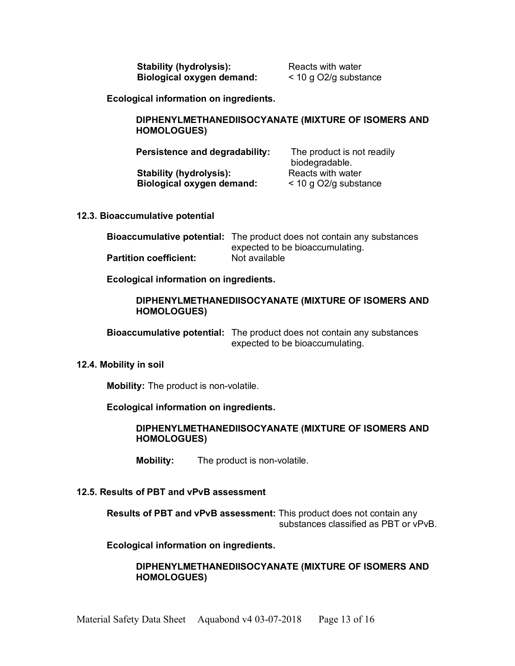**Stability (hydrolysis):** Reacts with water **Biological oxygen demand:** < 10 g O2/g substance

**Ecological information on ingredients.** 

## **DIPHENYLMETHANEDIISOCYANATE (MIXTURE OF ISOMERS AND HOMOLOGUES)**

| Persistence and degradability:   | The product is not readily<br>biodegradable. |
|----------------------------------|----------------------------------------------|
| <b>Stability (hydrolysis):</b>   | Reacts with water                            |
| <b>Biological oxygen demand:</b> | $<$ 10 g O2/g substance                      |

#### **12.3. Bioaccumulative potential**

|                               | <b>Bioaccumulative potential:</b> The product does not contain any substances |
|-------------------------------|-------------------------------------------------------------------------------|
|                               | expected to be bioaccumulating.                                               |
| <b>Partition coefficient:</b> | Not available                                                                 |

**Ecological information on ingredients.** 

## **DIPHENYLMETHANEDIISOCYANATE (MIXTURE OF ISOMERS AND HOMOLOGUES)**

**Bioaccumulative potential:** The product does not contain any substances expected to be bioaccumulating.

#### **12.4. Mobility in soil**

**Mobility:** The product is non-volatile.

## **Ecological information on ingredients.**

**DIPHENYLMETHANEDIISOCYANATE (MIXTURE OF ISOMERS AND HOMOLOGUES)**

**Mobility:** The product is non-volatile.

## **12.5. Results of PBT and vPvB assessment**

**Results of PBT and vPvB assessment:** This product does not contain any substances classified as PBT or vPvB.

## **Ecological information on ingredients.**

## **DIPHENYLMETHANEDIISOCYANATE (MIXTURE OF ISOMERS AND HOMOLOGUES)**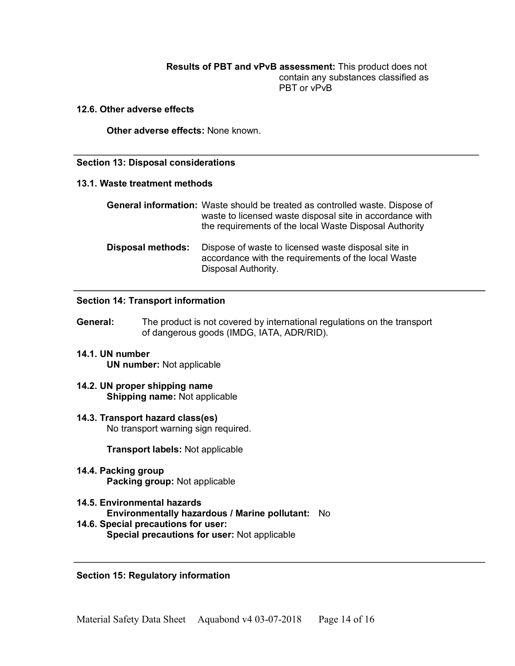**Results of PBT and vPvB assessment:** This product does not contain any substances classified as PBT or vPvB

#### **12.6. Other adverse effects**

**Other adverse effects:** None known.

#### **Section 13: Disposal considerations**

#### **13.1. Waste treatment methods**

|                   | <b>General information:</b> Waste should be treated as controlled waste. Dispose of<br>waste to licensed waste disposal site in accordance with<br>the requirements of the local Waste Disposal Authority |
|-------------------|-----------------------------------------------------------------------------------------------------------------------------------------------------------------------------------------------------------|
| Disposal methods: | Dispose of waste to licensed waste disposal site in<br>accordance with the requirements of the local Waste<br>Disposal Authority.                                                                         |

## **Section 14: Transport information**

- **General:** The product is not covered by international regulations on the transport of dangerous goods (IMDG, IATA, ADR/RID).
- **14.1. UN number UN number:** Not applicable
- **14.2. UN proper shipping name Shipping name:** Not applicable
- **14.3. Transport hazard class(es)** No transport warning sign required.

**Transport labels:** Not applicable

- **14.4. Packing group Packing group:** Not applicable
- **14.5. Environmental hazards Environmentally hazardous / Marine pollutant:** No **14.6. Special precautions for user:**
	- **Special precautions for user:** Not applicable

## **Section 15: Regulatory information**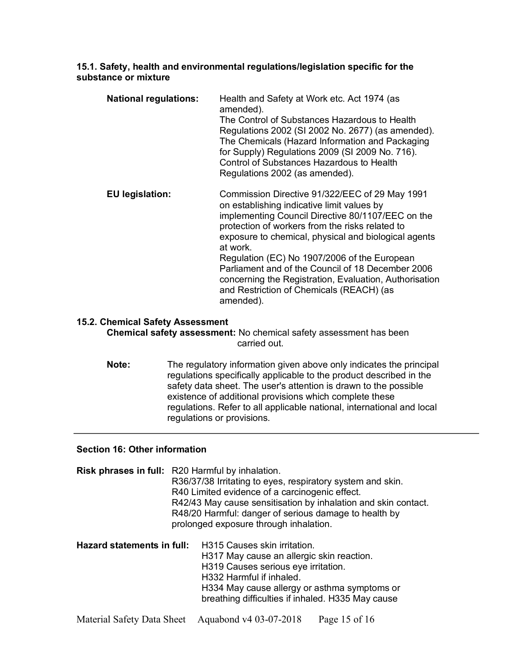## **15.1. Safety, health and environmental regulations/legislation specific for the substance or mixture**

| <b>National regulations:</b> | Health and Safety at Work etc. Act 1974 (as<br>amended).<br>The Control of Substances Hazardous to Health<br>Regulations 2002 (SI 2002 No. 2677) (as amended).<br>The Chemicals (Hazard Information and Packaging<br>for Supply) Regulations 2009 (SI 2009 No. 716).<br>Control of Substances Hazardous to Health<br>Regulations 2002 (as amended).                                                                                                                                              |
|------------------------------|--------------------------------------------------------------------------------------------------------------------------------------------------------------------------------------------------------------------------------------------------------------------------------------------------------------------------------------------------------------------------------------------------------------------------------------------------------------------------------------------------|
| <b>EU</b> legislation:       | Commission Directive 91/322/EEC of 29 May 1991<br>on establishing indicative limit values by<br>implementing Council Directive 80/1107/EEC on the<br>protection of workers from the risks related to<br>exposure to chemical, physical and biological agents<br>at work.<br>Regulation (EC) No 1907/2006 of the European<br>Parliament and of the Council of 18 December 2006<br>concerning the Registration, Evaluation, Authorisation<br>and Restriction of Chemicals (REACH) (as<br>amended). |

## **15.2. Chemical Safety Assessment**

**Chemical safety assessment:** No chemical safety assessment has been carried out.

**Note:** The regulatory information given above only indicates the principal regulations specifically applicable to the product described in the safety data sheet. The user's attention is drawn to the possible existence of additional provisions which complete these regulations. Refer to all applicable national, international and local regulations or provisions.

## **Section 16: Other information**

|                            | <b>Risk phrases in full:</b> R20 Harmful by inhalation.<br>R36/37/38 Irritating to eyes, respiratory system and skin.<br>R40 Limited evidence of a carcinogenic effect.<br>R42/43 May cause sensitisation by inhalation and skin contact.<br>R48/20 Harmful: danger of serious damage to health by<br>prolonged exposure through inhalation. |                                                                                                                                                                                                                                                          |
|----------------------------|----------------------------------------------------------------------------------------------------------------------------------------------------------------------------------------------------------------------------------------------------------------------------------------------------------------------------------------------|----------------------------------------------------------------------------------------------------------------------------------------------------------------------------------------------------------------------------------------------------------|
| Hazard statements in full: |                                                                                                                                                                                                                                                                                                                                              | <b>H315 Causes skin irritation.</b><br>H317 May cause an allergic skin reaction.<br>H319 Causes serious eye irritation.<br>H332 Harmful if inhaled.<br>H334 May cause allergy or asthma symptoms or<br>breathing difficulties if inhaled. H335 May cause |